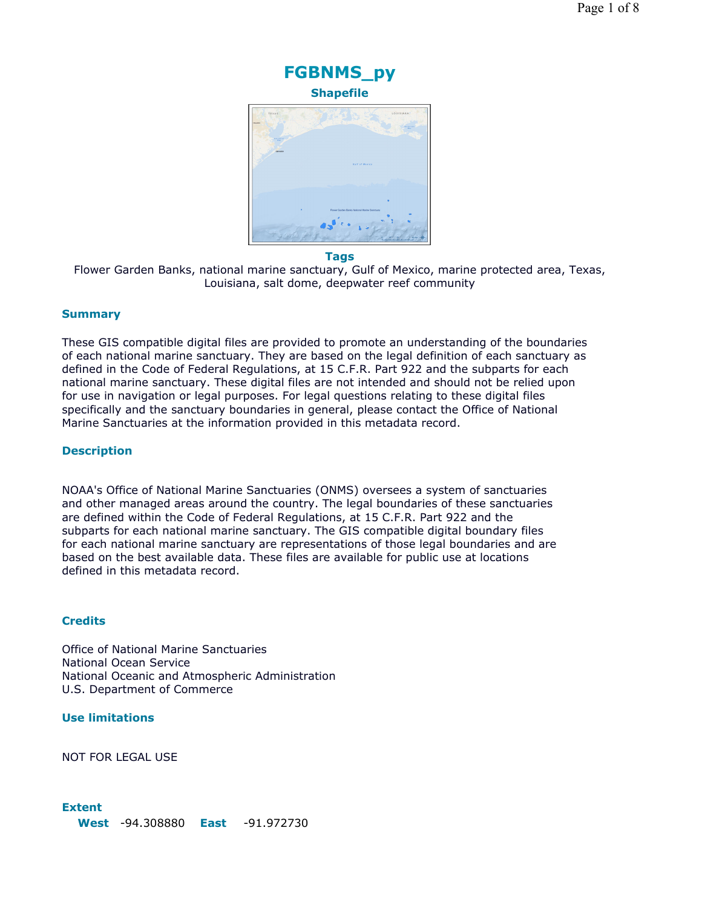

#### **Tags**

Flower Garden Banks, national marine sanctuary, Gulf of Mexico, marine protected area, Texas, Louisiana, salt dome, deepwater reef community

#### **Summary**

These GIS compatible digital files are provided to promote an understanding of the boundaries of each national marine sanctuary. They are based on the legal definition of each sanctuary as defined in the Code of Federal Regulations, at 15 C.F.R. Part 922 and the subparts for each national marine sanctuary. These digital files are not intended and should not be relied upon for use in navigation or legal purposes. For legal questions relating to these digital files specifically and the sanctuary boundaries in general, please contact the Office of National Marine Sanctuaries at the information provided in this metadata record.

#### **Description**

NOAA's Office of National Marine Sanctuaries (ONMS) oversees a system of sanctuaries and other managed areas around the country. The legal boundaries of these sanctuaries are defined within the Code of Federal Regulations, at 15 C.F.R. Part 922 and the subparts for each national marine sanctuary. The GIS compatible digital boundary files for each national marine sanctuary are representations of those legal boundaries and are based on the best available data. These files are available for public use at locations defined in this metadata record.

#### **Credits**

Office of National Marine Sanctuaries National Ocean Service National Oceanic and Atmospheric Administration U.S. Department of Commerce

# **Use limitations**

NOT FOR LEGAL USE

#### **Extent**

**West** -94.308880 **East** -91.972730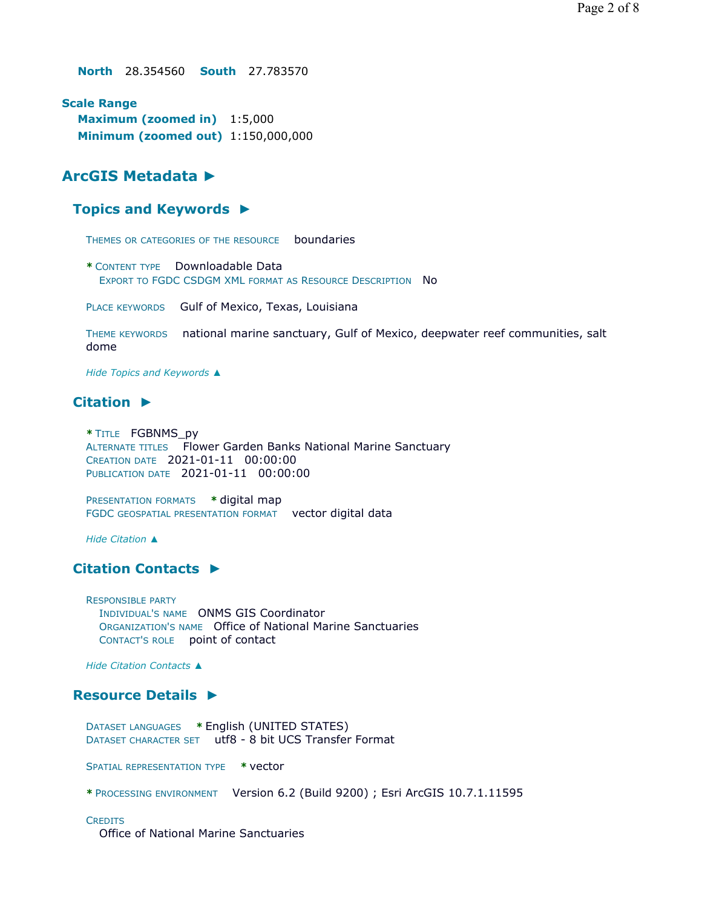**North** 28.354560 **South** 27.783570

**Scale Range Maximum (zoomed in)** 1:5,000 **Minimum (zoomed out)** 1:150,000,000

# **ArcGIS Metadata ►**

## **Topics and Keywords ►**

THEMES OR CATEGORIES OF THE RESOURCE boundaries

**\*** CONTENT TYPE Downloadable Data EXPORT TO FGDC CSDGM XML FORMAT AS RESOURCE DESCRIPTION No

PLACE KEYWORDS Gulf of Mexico, Texas, Louisiana

THEME KEYWORDS national marine sanctuary, Gulf of Mexico, deepwater reef communities, salt dome

*Hide Topics and Keywords ▲*

# **Citation ►**

**\*** TITLE FGBNMS\_py ALTERNATE TITLES Flower Garden Banks National Marine Sanctuary CREATION DATE 2021-01-11 00:00:00 PUBLICATION DATE 2021-01-11 00:00:00

PRESENTATION FORMATS **\*** digital map FGDC GEOSPATIAL PRESENTATION FORMAT vector digital data

*Hide Citation ▲*

## **Citation Contacts ►**

RESPONSIBLE PARTY INDIVIDUAL'S NAME ONMS GIS Coordinator ORGANIZATION'S NAME Office of National Marine Sanctuaries CONTACT'S ROLE point of contact

*Hide Citation Contacts ▲*

## **Resource Details ►**

DATASET LANGUAGES **\*** English (UNITED STATES) DATASET CHARACTER SET utf8 - 8 bit UCS Transfer Format

SPATIAL REPRESENTATION TYPE **\*** vector

**\*** PROCESSING ENVIRONMENT Version 6.2 (Build 9200) ; Esri ArcGIS 10.7.1.11595

#### **CREDITS**

Office of National Marine Sanctuaries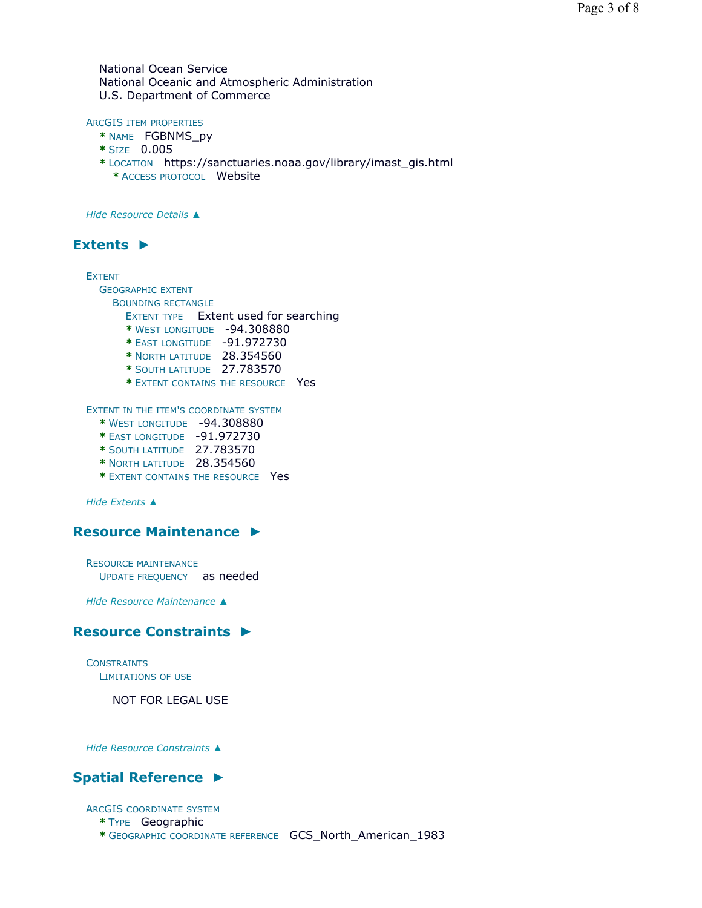National Ocean Service National Oceanic and Atmospheric Administration U.S. Department of Commerce

#### ARCGIS ITEM PROPERTIES

- **\*** NAME FGBNMS\_py
- **\*** SIZE 0.005
- **\*** LOCATION https://sanctuaries.noaa.gov/library/imast\_gis.html **\*** ACCESS PROTOCOL Website

*Hide Resource Details ▲*

## **Extents ►**

EXTENT

GEOGRAPHIC EXTENT

BOUNDING RECTANGLE

EXTENT TYPE Extent used for searching

- **\*** WEST LONGITUDE -94.308880
- **\*** EAST LONGITUDE -91.972730
- **\*** NORTH LATITUDE 28.354560
- **\*** SOUTH LATITUDE 27.783570
- **\*** EXTENT CONTAINS THE RESOURCE Yes

EXTENT IN THE ITEM'S COORDINATE SYSTEM

- **\*** WEST LONGITUDE -94.308880
- **\*** EAST LONGITUDE -91.972730
- **\*** SOUTH LATITUDE 27.783570
- **\*** NORTH LATITUDE 28.354560
- **\*** EXTENT CONTAINS THE RESOURCE Yes

*Hide Extents ▲*

## **Resource Maintenance ►**

RESOURCE MAINTENANCE UPDATE FREQUENCY as needed

*Hide Resource Maintenance ▲*

## **Resource Constraints ►**

**CONSTRAINTS** LIMITATIONS OF USE

NOT FOR LEGAL USE

*Hide Resource Constraints ▲*

# **Spatial Reference ►**

#### ARCGIS COORDINATE SYSTEM

- **\*** TYPE Geographic
- **\*** GEOGRAPHIC COORDINATE REFERENCE GCS\_North\_American\_1983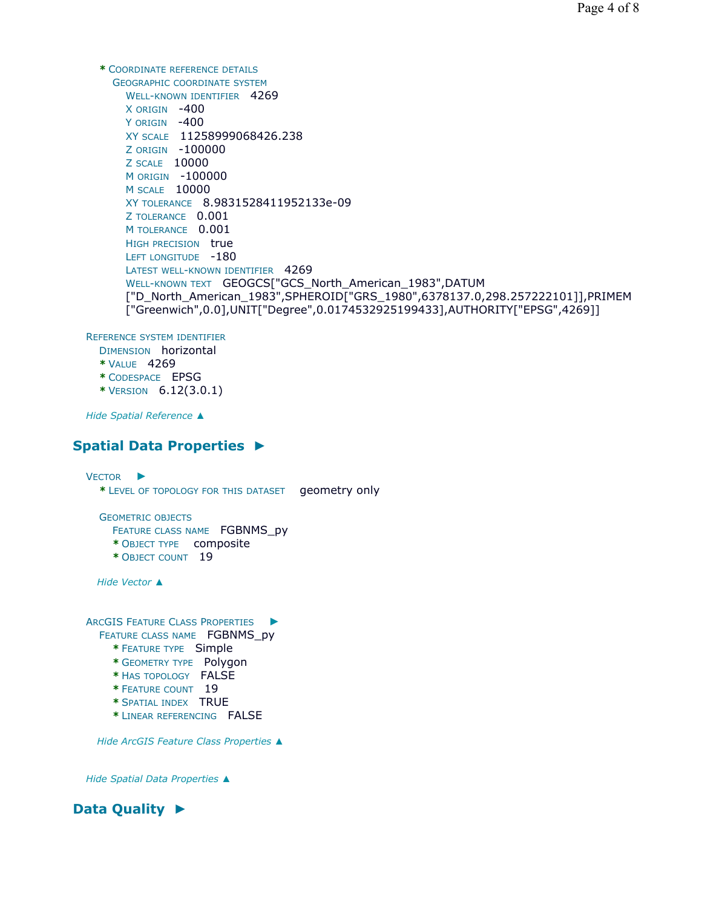```
* COORDINATE REFERENCE DETAILS
  GEOGRAPHIC COORDINATE SYSTEM
    WELL-KNOWN IDENTIFIER 4269
    X ORIGIN -400 
    Y ORIGIN -400
    XY SCALE 11258999068426.238 
    Z ORIGIN -100000 
    Z SCALE 10000 
    M ORIGIN -100000 
    M SCALE 10000 
    XY TOLERANCE 8.9831528411952133e-09 
    Z TOLERANCE 0.001 
    M TOLERANCE 0.001
    HIGH PRECISION true
    LEFT LONGITUDE -180
    LATEST WELL-KNOWN IDENTIFIER 4269
    WELL-KNOWN TEXT GEOGCS["GCS_North_American_1983",DATUM
    ["D_North_American_1983",SPHEROID["GRS_1980",6378137.0,298.257222101]],PRIMEM
    ["Greenwich",0.0],UNIT["Degree",0.0174532925199433],AUTHORITY["EPSG",4269]]
```
REFERENCE SYSTEM IDENTIFIER

DIMENSION horizontal

- **\*** VALUE 4269
- **\*** CODESPACE EPSG
- **\*** VERSION 6.12(3.0.1)

*Hide Spatial Reference ▲*

# **Spatial Data Properties ►**

```
VECTOR
►
 * LEVEL OF TOPOLOGY FOR THIS DATASET geometry only
 GEOMETRIC OBJECTS
    FEATURE CLASS NAME FGBNMS_py
    * OBJECT TYPE composite
    * OBJECT COUNT 19
 Hide Vector ▲
ARCGIS FEATURE CLASS PROPERTIES
►
 FEATURE CLASS NAME FGBNMS py
    * FEATURE TYPE Simple
    * GEOMETRY TYPE Polygon
    * HAS TOPOLOGY FALSE
    * FEATURE COUNT 19
    * SPATIAL INDEX TRUE
    * LINEAR REFERENCING FALSE
```
*Hide ArcGIS Feature Class Properties ▲*

*Hide Spatial Data Properties ▲*

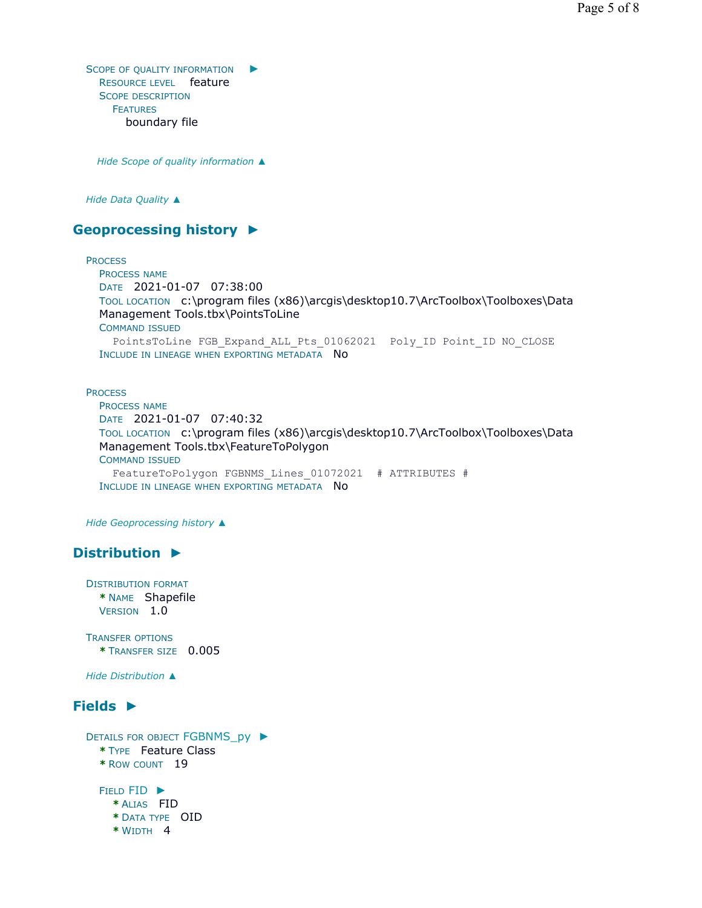SCOPE OF QUALITY INFORMATION  $\blacktriangleright$ RESOURCE LEVEL feature SCOPE DESCRIPTION FEATURES boundary file

*Hide Scope of quality information ▲*

*Hide Data Quality ▲*

# **Geoprocessing history ►**

**PROCESS** 

PROCESS NAME DATE 2021-01-07 07:38:00 TOOL LOCATION c:\program files (x86)\arcgis\desktop10.7\ArcToolbox\Toolboxes\Data Management Tools.tbx\PointsToLine COMMAND ISSUED PointsToLine FGB\_Expand\_ALL\_Pts\_01062021 Poly\_ID\_Point\_ID\_NO\_CLOSE INCLUDE IN LINEAGE WHEN EXPORTING METADATA NO

#### **PROCESS**

PROCESS NAME DATE 2021-01-07 07:40:32 TOOL LOCATION c:\program files (x86)\arcgis\desktop10.7\ArcToolbox\Toolboxes\Data Management Tools.tbx\FeatureToPolygon COMMAND ISSUED FeatureToPolygon FGBNMS\_Lines\_01072021 # ATTRIBUTES # INCLUDE IN LINEAGE WHEN EXPORTING METADATA NO

*Hide Geoprocessing history ▲*

# **Distribution ►**

DISTRIBUTION FORMAT **\*** NAME Shapefile VERSION 1.0

TRANSFER OPTIONS **\*** TRANSFER SIZE 0.005

*Hide Distribution ▲*

# **Fields ►**

```
DETAILS FOR OBJECT FGBNMS_py 
►
 * TYPE Feature Class
 * ROW COUNT 19
  FIELD FID ▶
   * ALIAS FID
    * DATA TYPE OID
    * WIDTH 4
```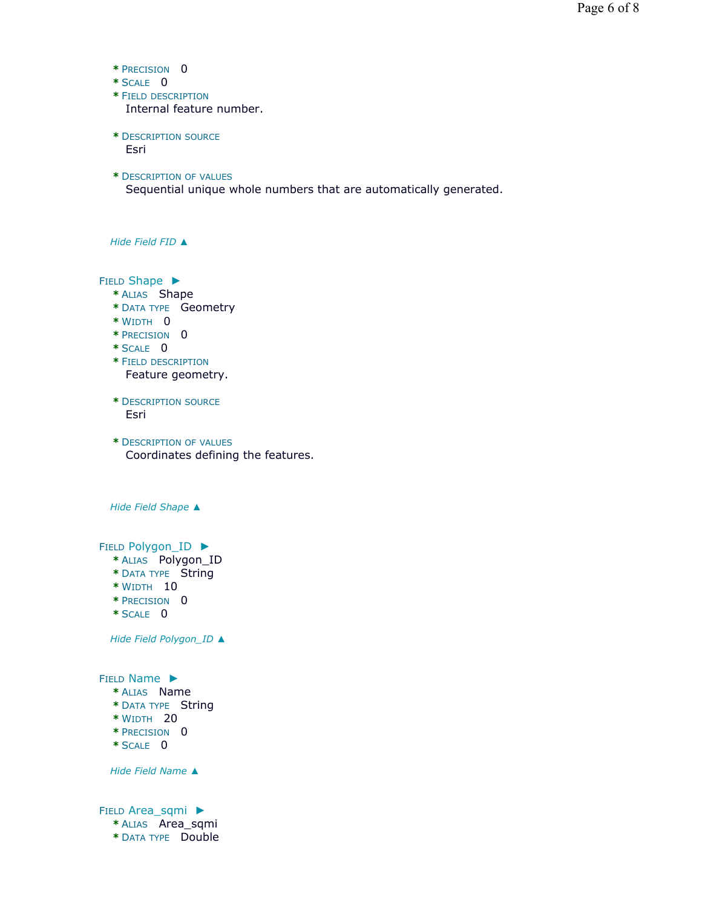- **\*** PRECISION 0
- **\*** SCALE 0
- **\*** FIELD DESCRIPTION Internal feature number.
- **\*** DESCRIPTION SOURCE Esri
- **\*** DESCRIPTION OF VALUES

Sequential unique whole numbers that are automatically generated.

*Hide Field FID ▲*

FIELD Shape ▶

- **\*** ALIAS Shape
- **\*** DATA TYPE Geometry
- **\*** WIDTH 0
- **\*** PRECISION 0
- **\*** SCALE 0
- **\*** FIELD DESCRIPTION Feature geometry.
- **\*** DESCRIPTION SOURCE Esri
- **\*** DESCRIPTION OF VALUES Coordinates defining the features.

*Hide Field Shape ▲*

FIELD Polygon\_ID ▶

- **\*** ALIAS Polygon\_ID
- **\*** DATA TYPE String
- **\*** WIDTH 10
- **\*** PRECISION 0
- **\*** SCALE 0

*Hide Field Polygon\_ID ▲*

FIELD Name ▶

- **\*** ALIAS Name
- **\*** DATA TYPE String
- **\*** WIDTH 20
- **\*** PRECISION 0
- **\*** SCALE 0

*Hide Field Name ▲*

FIELD Area\_sqmi ▶ **\*** ALIAS Area\_sqmi **\*** DATA TYPE Double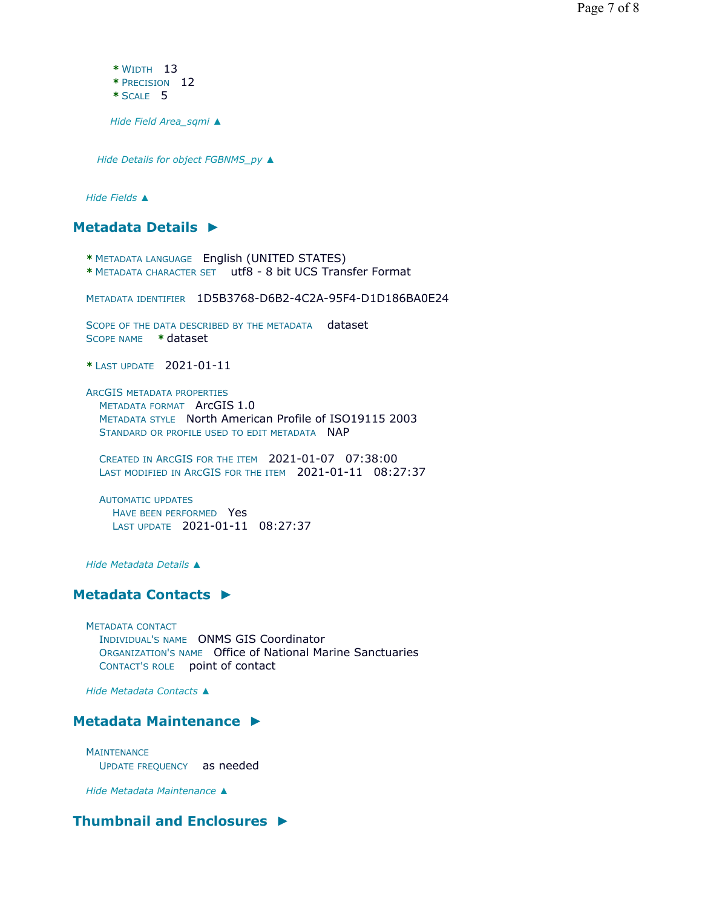**\*** WIDTH 13 **\*** PRECISION 12 **\*** SCALE 5

*Hide Field Area\_sqmi ▲*

*Hide Details for object FGBNMS\_py ▲*

*Hide Fields ▲*

**Metadata Details ►**

- **\*** METADATA LANGUAGE English (UNITED STATES)
- **\*** METADATA CHARACTER SET utf8 8 bit UCS Transfer Format

METADATA IDENTIFIER 1D5B3768-D6B2-4C2A-95F4-D1D186BA0E24

SCOPE OF THE DATA DESCRIBED BY THE METADATA dataset SCOPE NAME **\*** dataset

**\*** LAST UPDATE 2021-01-11

ARCGIS METADATA PROPERTIES METADATA FORMAT ArcGIS 1.0 METADATA STYLE North American Profile of ISO19115 2003 STANDARD OR PROFILE USED TO EDIT METADATA NAP

CREATED IN ARCGIS FOR THE ITEM 2021-01-07 07:38:00 LAST MODIFIED IN ARCGIS FOR THE ITEM 2021-01-11 08:27:37

AUTOMATIC UPDATES HAVE BEEN PERFORMED Yes LAST UPDATE 2021-01-11 08:27:37

*Hide Metadata Details ▲*

## **Metadata Contacts ►**

METADATA CONTACT INDIVIDUAL'S NAME ONMS GIS Coordinator ORGANIZATION'S NAME Office of National Marine Sanctuaries CONTACT'S ROLE point of contact

*Hide Metadata Contacts ▲*

## **Metadata Maintenance ►**

**MAINTENANCE** UPDATE FREQUENCY as needed

*Hide Metadata Maintenance ▲*

## **Thumbnail and Enclosures ►**